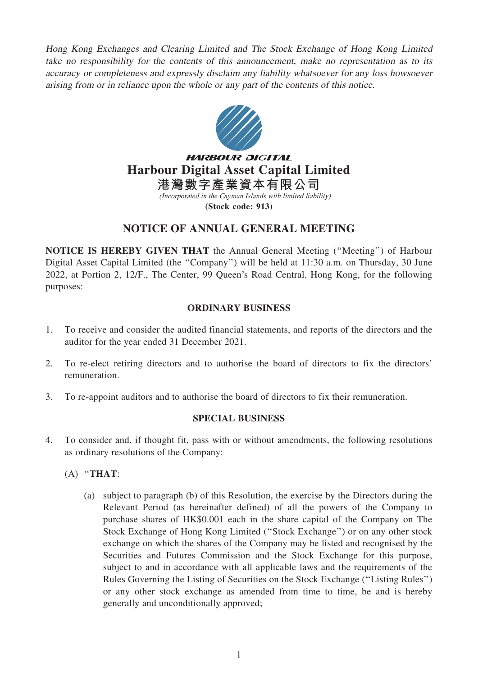Hong Kong Exchanges and Clearing Limited and The Stock Exchange of Hong Kong Limited take no responsibility for the contents of this announcement, make no representation as to its accuracy or completeness and expressly disclaim any liability whatsoever for any loss howsoever arising from or in reliance upon the whole or any part of the contents of this notice.



**HARBOUR DIGITAL Harbour Digital Asset Capital Limited 港灣數字產業資本有限公司**

> (Incorporated in the Cayman Islands with limited liability) **(Stock code: 913)**

## NOTICE OF ANNUAL GENERAL MEETING

NOTICE IS HEREBY GIVEN THAT the Annual General Meeting (''Meeting'') of Harbour Digital Asset Capital Limited (the "Company") will be held at 11:30 a.m. on Thursday, 30 June 2022, at Portion 2, 12/F., The Center, 99 Queen's Road Central, Hong Kong, for the following purposes:

## ORDINARY BUSINESS

- 1. To receive and consider the audited financial statements, and reports of the directors and the auditor for the year ended 31 December 2021.
- 2. To re-elect retiring directors and to authorise the board of directors to fix the directors' remuneration.
- 3. To re-appoint auditors and to authorise the board of directors to fix their remuneration.

## SPECIAL BUSINESS

- 4. To consider and, if thought fit, pass with or without amendments, the following resolutions as ordinary resolutions of the Company:
	- (A) ''THAT:
		- (a) subject to paragraph (b) of this Resolution, the exercise by the Directors during the Relevant Period (as hereinafter defined) of all the powers of the Company to purchase shares of HK\$0.001 each in the share capital of the Company on The Stock Exchange of Hong Kong Limited (''Stock Exchange'') or on any other stock exchange on which the shares of the Company may be listed and recognised by the Securities and Futures Commission and the Stock Exchange for this purpose, subject to and in accordance with all applicable laws and the requirements of the Rules Governing the Listing of Securities on the Stock Exchange (''Listing Rules'') or any other stock exchange as amended from time to time, be and is hereby generally and unconditionally approved;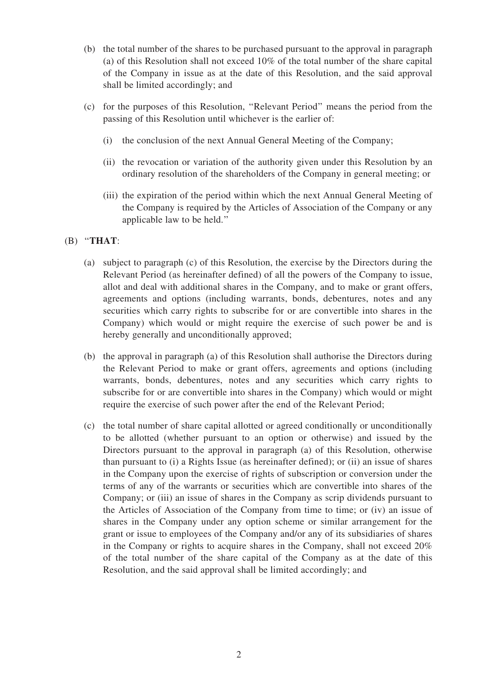- (b) the total number of the shares to be purchased pursuant to the approval in paragraph (a) of this Resolution shall not exceed 10% of the total number of the share capital of the Company in issue as at the date of this Resolution, and the said approval shall be limited accordingly; and
- (c) for the purposes of this Resolution, ''Relevant Period'' means the period from the passing of this Resolution until whichever is the earlier of:
	- (i) the conclusion of the next Annual General Meeting of the Company;
	- (ii) the revocation or variation of the authority given under this Resolution by an ordinary resolution of the shareholders of the Company in general meeting; or
	- (iii) the expiration of the period within which the next Annual General Meeting of the Company is required by the Articles of Association of the Company or any applicable law to be held.''
- $(B)$  "THAT:
	- (a) subject to paragraph (c) of this Resolution, the exercise by the Directors during the Relevant Period (as hereinafter defined) of all the powers of the Company to issue, allot and deal with additional shares in the Company, and to make or grant offers, agreements and options (including warrants, bonds, debentures, notes and any securities which carry rights to subscribe for or are convertible into shares in the Company) which would or might require the exercise of such power be and is hereby generally and unconditionally approved;
	- (b) the approval in paragraph (a) of this Resolution shall authorise the Directors during the Relevant Period to make or grant offers, agreements and options (including warrants, bonds, debentures, notes and any securities which carry rights to subscribe for or are convertible into shares in the Company) which would or might require the exercise of such power after the end of the Relevant Period;
	- (c) the total number of share capital allotted or agreed conditionally or unconditionally to be allotted (whether pursuant to an option or otherwise) and issued by the Directors pursuant to the approval in paragraph (a) of this Resolution, otherwise than pursuant to (i) a Rights Issue (as hereinafter defined); or (ii) an issue of shares in the Company upon the exercise of rights of subscription or conversion under the terms of any of the warrants or securities which are convertible into shares of the Company; or (iii) an issue of shares in the Company as scrip dividends pursuant to the Articles of Association of the Company from time to time; or (iv) an issue of shares in the Company under any option scheme or similar arrangement for the grant or issue to employees of the Company and/or any of its subsidiaries of shares in the Company or rights to acquire shares in the Company, shall not exceed 20% of the total number of the share capital of the Company as at the date of this Resolution, and the said approval shall be limited accordingly; and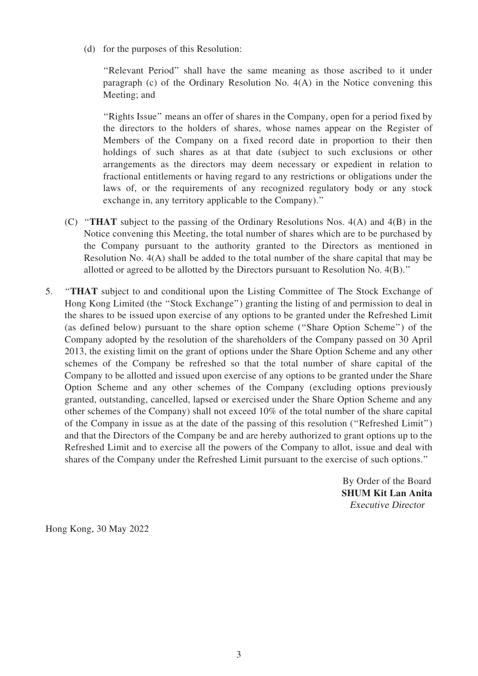(d) for the purposes of this Resolution:

"Relevant Period" shall have the same meaning as those ascribed to it under paragraph (c) of the Ordinary Resolution No. 4(A) in the Notice convening this Meeting; and

''Rights Issue'' means an offer of shares in the Company, open for a period fixed by the directors to the holders of shares, whose names appear on the Register of Members of the Company on a fixed record date in proportion to their then holdings of such shares as at that date (subject to such exclusions or other arrangements as the directors may deem necessary or expedient in relation to fractional entitlements or having regard to any restrictions or obligations under the laws of, or the requirements of any recognized regulatory body or any stock exchange in, any territory applicable to the Company).''

- (C) ''THAT subject to the passing of the Ordinary Resolutions Nos. 4(A) and 4(B) in the Notice convening this Meeting, the total number of shares which are to be purchased by the Company pursuant to the authority granted to the Directors as mentioned in Resolution No. 4(A) shall be added to the total number of the share capital that may be allotted or agreed to be allotted by the Directors pursuant to Resolution No. 4(B).''
- 5. ''THAT subject to and conditional upon the Listing Committee of The Stock Exchange of Hong Kong Limited (the ''Stock Exchange'') granting the listing of and permission to deal in the shares to be issued upon exercise of any options to be granted under the Refreshed Limit (as defined below) pursuant to the share option scheme (''Share Option Scheme'') of the Company adopted by the resolution of the shareholders of the Company passed on 30 April 2013, the existing limit on the grant of options under the Share Option Scheme and any other schemes of the Company be refreshed so that the total number of share capital of the Company to be allotted and issued upon exercise of any options to be granted under the Share Option Scheme and any other schemes of the Company (excluding options previously granted, outstanding, cancelled, lapsed or exercised under the Share Option Scheme and any other schemes of the Company) shall not exceed 10% of the total number of the share capital of the Company in issue as at the date of the passing of this resolution (''Refreshed Limit'') and that the Directors of the Company be and are hereby authorized to grant options up to the Refreshed Limit and to exercise all the powers of the Company to allot, issue and deal with shares of the Company under the Refreshed Limit pursuant to the exercise of such options.''

By Order of the Board SHUM Kit Lan Anita Executive Director

Hong Kong, 30 May 2022